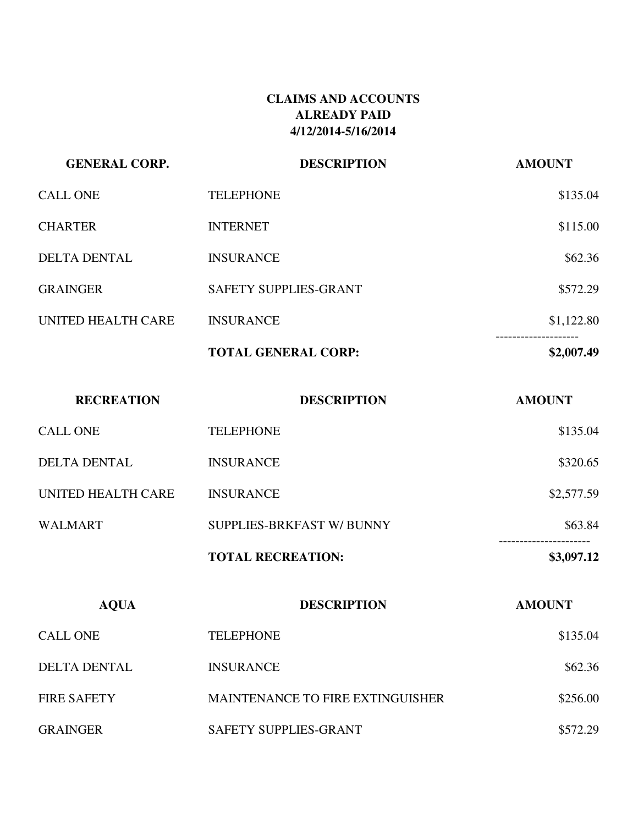# **CLAIMS AND ACCOUNTS ALREADY PAID 4/12/2014-5/16/2014**

| <b>GENERAL CORP.</b> | <b>DESCRIPTION</b>         | <b>AMOUNT</b>                                 |
|----------------------|----------------------------|-----------------------------------------------|
| <b>CALL ONE</b>      | <b>TELEPHONE</b>           | \$135.04                                      |
| <b>CHARTER</b>       | <b>INTERNET</b>            | \$115.00                                      |
| <b>DELTA DENTAL</b>  | <b>INSURANCE</b>           | \$62.36                                       |
| <b>GRAINGER</b>      | SAFETY SUPPLIES-GRANT      | \$572.29                                      |
| UNITED HEALTH CARE   | <b>INSURANCE</b>           | \$1,122.80                                    |
|                      | <b>TOTAL GENERAL CORP:</b> | . _ _ _ _ _ _ _ _ _ _ _ _ _ _ _<br>\$2,007.49 |

| <b>RECREATION</b>   | <b>DESCRIPTION</b>        | <b>AMOUNT</b> |
|---------------------|---------------------------|---------------|
| <b>CALL ONE</b>     | <b>TELEPHONE</b>          | \$135.04      |
| <b>DELTA DENTAL</b> | <b>INSURANCE</b>          | \$320.65      |
| UNITED HEALTH CARE  | <b>INSURANCE</b>          | \$2,577.59    |
| <b>WALMART</b>      | SUPPLIES-BRKFAST W/ BUNNY | \$63.84       |
|                     | <b>TOTAL RECREATION:</b>  | \$3,097.12    |
|                     |                           |               |

| <b>AQUA</b>        | <b>DESCRIPTION</b>                      | <b>AMOUNT</b> |
|--------------------|-----------------------------------------|---------------|
| CALL ONE           | <b>TELEPHONE</b>                        | \$135.04      |
| DELTA DENTAL       | <b>INSURANCE</b>                        | \$62.36       |
| <b>FIRE SAFETY</b> | <b>MAINTENANCE TO FIRE EXTINGUISHER</b> | \$256.00      |
| <b>GRAINGER</b>    | <b>SAFETY SUPPLIES-GRANT</b>            | \$572.29      |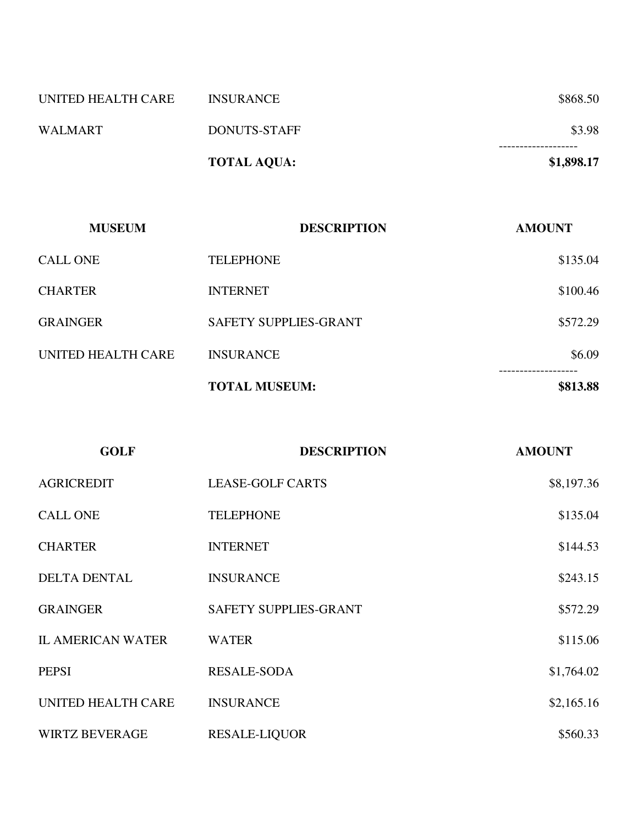|                    | <b>TOTAL AQUA:</b> | \$1,898.17                        |
|--------------------|--------------------|-----------------------------------|
| <b>WALMART</b>     | DONUTS-STAFF       | \$3.98<br>. - - - - - - - - - - - |
| UNITED HEALTH CARE | <b>INSURANCE</b>   | \$868.50                          |

| <b>MUSEUM</b>      | <b>DESCRIPTION</b>           | <b>AMOUNT</b> |
|--------------------|------------------------------|---------------|
| <b>CALL ONE</b>    | <b>TELEPHONE</b>             | \$135.04      |
| <b>CHARTER</b>     | <b>INTERNET</b>              | \$100.46      |
| <b>GRAINGER</b>    | <b>SAFETY SUPPLIES-GRANT</b> | \$572.29      |
| UNITED HEALTH CARE | <b>INSURANCE</b>             | \$6.09        |
|                    | <b>TOTAL MUSEUM:</b>         | \$813.88      |

| <b>GOLF</b>              | <b>DESCRIPTION</b>           | <b>AMOUNT</b> |
|--------------------------|------------------------------|---------------|
| <b>AGRICREDIT</b>        | <b>LEASE-GOLF CARTS</b>      | \$8,197.36    |
| <b>CALL ONE</b>          | <b>TELEPHONE</b>             | \$135.04      |
| <b>CHARTER</b>           | <b>INTERNET</b>              | \$144.53      |
| <b>DELTA DENTAL</b>      | <b>INSURANCE</b>             | \$243.15      |
| <b>GRAINGER</b>          | <b>SAFETY SUPPLIES-GRANT</b> | \$572.29      |
| <b>IL AMERICAN WATER</b> | <b>WATER</b>                 | \$115.06      |
| <b>PEPSI</b>             | <b>RESALE-SODA</b>           | \$1,764.02    |
| UNITED HEALTH CARE       | <b>INSURANCE</b>             | \$2,165.16    |
| <b>WIRTZ BEVERAGE</b>    | <b>RESALE-LIQUOR</b>         | \$560.33      |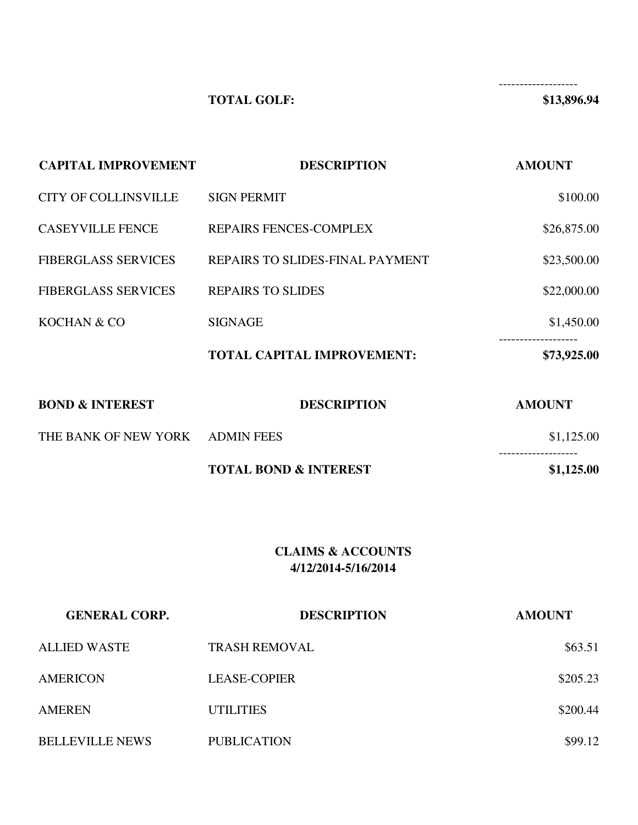-------------------

# **TOTAL GOLF:** \$13,896.94

| <b>CAPITAL IMPROVEMENT</b>  | <b>DESCRIPTION</b>                | <b>AMOUNT</b> |
|-----------------------------|-----------------------------------|---------------|
| <b>CITY OF COLLINSVILLE</b> | <b>SIGN PERMIT</b>                | \$100.00      |
| <b>CASEYVILLE FENCE</b>     | REPAIRS FENCES-COMPLEX            | \$26,875.00   |
| <b>FIBERGLASS SERVICES</b>  | REPAIRS TO SLIDES-FINAL PAYMENT   | \$23,500.00   |
| <b>FIBERGLASS SERVICES</b>  | <b>REPAIRS TO SLIDES</b>          | \$22,000.00   |
| KOCHAN & CO                 | <b>SIGNAGE</b>                    | \$1,450.00    |
|                             | <b>TOTAL CAPITAL IMPROVEMENT:</b> | \$73,925.00   |
| <b>BOND &amp; INTEREST</b>  | <b>DESCRIPTION</b>                | <b>AMOUNT</b> |
| THE BANK OF NEW YORK        | <b>ADMIN FEES</b>                 | \$1,125.00    |
|                             | <b>TOTAL BOND &amp; INTEREST</b>  | \$1,125.00    |

### **CLAIMS & ACCOUNTS 4/12/2014-5/16/2014**

| <b>GENERAL CORP.</b>   | <b>DESCRIPTION</b>   | <b>AMOUNT</b> |
|------------------------|----------------------|---------------|
| <b>ALLIED WASTE</b>    | <b>TRASH REMOVAL</b> | \$63.51       |
| AMERICON               | <b>LEASE-COPIER</b>  | \$205.23      |
| <b>AMEREN</b>          | <b>UTILITIES</b>     | \$200.44      |
| <b>BELLEVILLE NEWS</b> | <b>PUBLICATION</b>   | \$99.12       |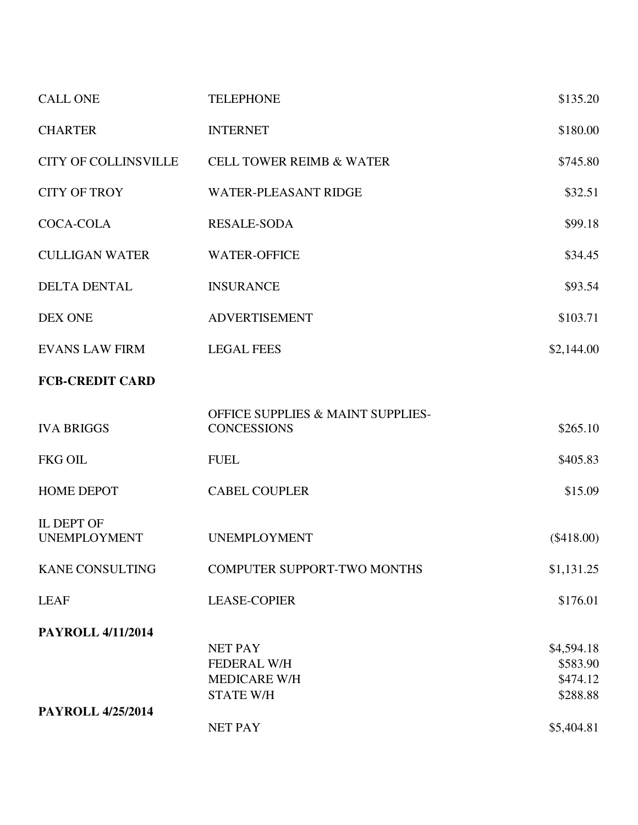| <b>CALL ONE</b>                          | <b>TELEPHONE</b>                                                   | \$135.20             |
|------------------------------------------|--------------------------------------------------------------------|----------------------|
| <b>CHARTER</b>                           | <b>INTERNET</b>                                                    | \$180.00             |
| <b>CITY OF COLLINSVILLE</b>              | <b>CELL TOWER REIMB &amp; WATER</b>                                | \$745.80             |
| <b>CITY OF TROY</b>                      | <b>WATER-PLEASANT RIDGE</b>                                        | \$32.51              |
| <b>COCA-COLA</b>                         | <b>RESALE-SODA</b>                                                 | \$99.18              |
| <b>CULLIGAN WATER</b>                    | <b>WATER-OFFICE</b>                                                | \$34.45              |
| <b>DELTA DENTAL</b>                      | <b>INSURANCE</b>                                                   | \$93.54              |
| <b>DEX ONE</b>                           | <b>ADVERTISEMENT</b>                                               | \$103.71             |
| <b>EVANS LAW FIRM</b>                    | <b>LEGAL FEES</b>                                                  | \$2,144.00           |
| <b>FCB-CREDIT CARD</b>                   |                                                                    |                      |
| <b>IVA BRIGGS</b>                        | <b>OFFICE SUPPLIES &amp; MAINT SUPPLIES-</b><br><b>CONCESSIONS</b> | \$265.10             |
| <b>FKG OIL</b>                           | <b>FUEL</b>                                                        | \$405.83             |
| <b>HOME DEPOT</b>                        | <b>CABEL COUPLER</b>                                               | \$15.09              |
| <b>IL DEPT OF</b><br><b>UNEMPLOYMENT</b> | <b>UNEMPLOYMENT</b>                                                | $(\$418.00)$         |
| <b>KANE CONSULTING</b>                   | <b>COMPUTER SUPPORT-TWO MONTHS</b>                                 | \$1,131.25           |
| <b>LEAF</b>                              | <b>LEASE-COPIER</b>                                                | \$176.01             |
| <b>PAYROLL 4/11/2014</b>                 |                                                                    |                      |
|                                          | <b>NET PAY</b>                                                     | \$4,594.18           |
|                                          | <b>FEDERAL W/H</b>                                                 | \$583.90             |
|                                          | <b>MEDICARE W/H</b><br><b>STATE W/H</b>                            | \$474.12<br>\$288.88 |
| <b>PAYROLL 4/25/2014</b>                 |                                                                    |                      |
|                                          | <b>NET PAY</b>                                                     | \$5,404.81           |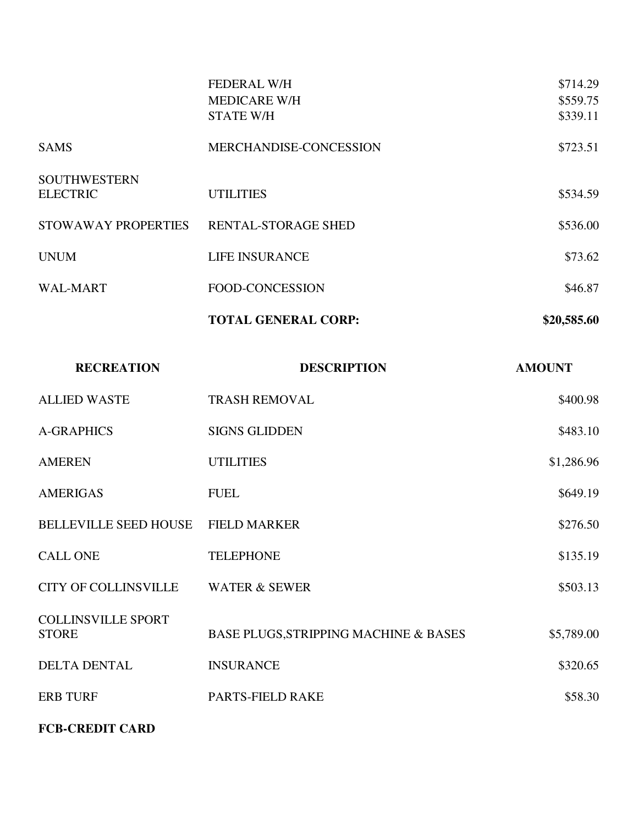|                                        | <b>FEDERAL W/H</b><br><b>MEDICARE W/H</b><br><b>STATE W/H</b> | \$714.29<br>\$559.75<br>\$339.11 |
|----------------------------------------|---------------------------------------------------------------|----------------------------------|
| <b>SAMS</b>                            | MERCHANDISE-CONCESSION                                        | \$723.51                         |
| <b>SOUTHWESTERN</b><br><b>ELECTRIC</b> | <b>UTILITIES</b>                                              | \$534.59                         |
| <b>STOWAWAY PROPERTIES</b>             | <b>RENTAL-STORAGE SHED</b>                                    | \$536.00                         |
| <b>UNUM</b>                            | <b>LIFE INSURANCE</b>                                         | \$73.62                          |
| WAL-MART                               | FOOD-CONCESSION                                               | \$46.87                          |
|                                        | <b>TOTAL GENERAL CORP:</b>                                    | \$20,585.60                      |

| <b>RECREATION</b>                         | <b>DESCRIPTION</b>                    | <b>AMOUNT</b> |
|-------------------------------------------|---------------------------------------|---------------|
| <b>ALLIED WASTE</b>                       | <b>TRASH REMOVAL</b>                  | \$400.98      |
| <b>A-GRAPHICS</b>                         | <b>SIGNS GLIDDEN</b>                  | \$483.10      |
| <b>AMEREN</b>                             | <b>UTILITIES</b>                      | \$1,286.96    |
| <b>AMERIGAS</b>                           | <b>FUEL</b>                           | \$649.19      |
| <b>BELLEVILLE SEED HOUSE</b>              | <b>FIELD MARKER</b>                   | \$276.50      |
| <b>CALL ONE</b>                           | <b>TELEPHONE</b>                      | \$135.19      |
| <b>CITY OF COLLINSVILLE</b>               | <b>WATER &amp; SEWER</b>              | \$503.13      |
| <b>COLLINSVILLE SPORT</b><br><b>STORE</b> | BASE PLUGS, STRIPPING MACHINE & BASES | \$5,789.00    |
| <b>DELTA DENTAL</b>                       | <b>INSURANCE</b>                      | \$320.65      |
| <b>ERB TURF</b>                           | PARTS-FIELD RAKE                      | \$58.30       |
|                                           |                                       |               |

### **FCB-CREDIT CARD**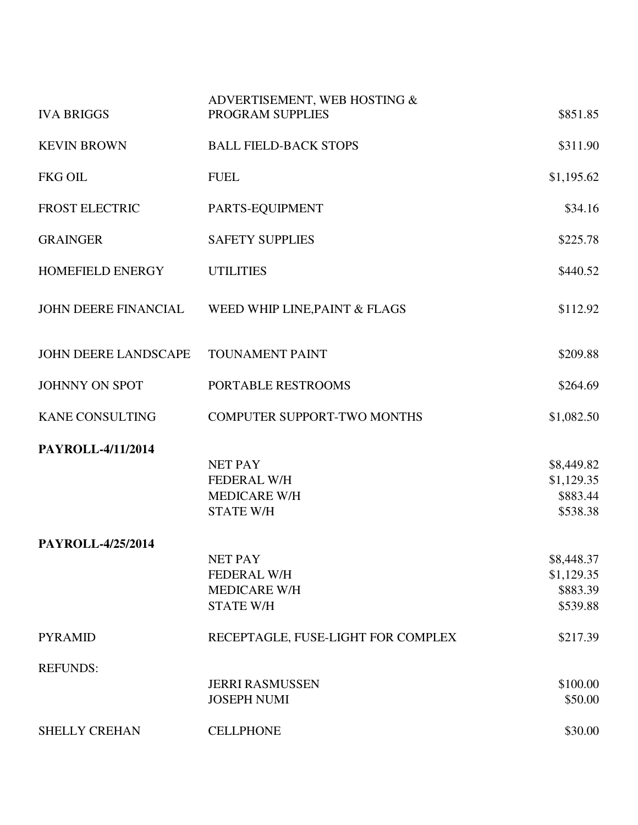| <b>IVA BRIGGS</b>           | ADVERTISEMENT, WEB HOSTING &<br>PROGRAM SUPPLIES                                | \$851.85                                         |
|-----------------------------|---------------------------------------------------------------------------------|--------------------------------------------------|
| <b>KEVIN BROWN</b>          | <b>BALL FIELD-BACK STOPS</b>                                                    | \$311.90                                         |
| <b>FKG OIL</b>              | <b>FUEL</b>                                                                     | \$1,195.62                                       |
| <b>FROST ELECTRIC</b>       | PARTS-EQUIPMENT                                                                 | \$34.16                                          |
| <b>GRAINGER</b>             | <b>SAFETY SUPPLIES</b>                                                          | \$225.78                                         |
| <b>HOMEFIELD ENERGY</b>     | <b>UTILITIES</b>                                                                | \$440.52                                         |
| <b>JOHN DEERE FINANCIAL</b> | WEED WHIP LINE, PAINT & FLAGS                                                   | \$112.92                                         |
| <b>JOHN DEERE LANDSCAPE</b> | <b>TOUNAMENT PAINT</b>                                                          | \$209.88                                         |
| <b>JOHNNY ON SPOT</b>       | PORTABLE RESTROOMS                                                              | \$264.69                                         |
| <b>KANE CONSULTING</b>      | <b>COMPUTER SUPPORT-TWO MONTHS</b>                                              | \$1,082.50                                       |
| PAYROLL-4/11/2014           | <b>NET PAY</b><br><b>FEDERAL W/H</b><br><b>MEDICARE W/H</b><br><b>STATE W/H</b> | \$8,449.82<br>\$1,129.35<br>\$883.44<br>\$538.38 |
| PAYROLL-4/25/2014           | NET PAY<br><b>FEDERAL W/H</b><br><b>MEDICARE W/H</b><br><b>STATE W/H</b>        | \$8,448.37<br>\$1,129.35<br>\$883.39<br>\$539.88 |
| <b>PYRAMID</b>              | RECEPTAGLE, FUSE-LIGHT FOR COMPLEX                                              | \$217.39                                         |
| <b>REFUNDS:</b>             | <b>JERRI RASMUSSEN</b><br><b>JOSEPH NUMI</b>                                    | \$100.00<br>\$50.00                              |
| SHELLY CREHAN               | <b>CELLPHONE</b>                                                                | \$30.00                                          |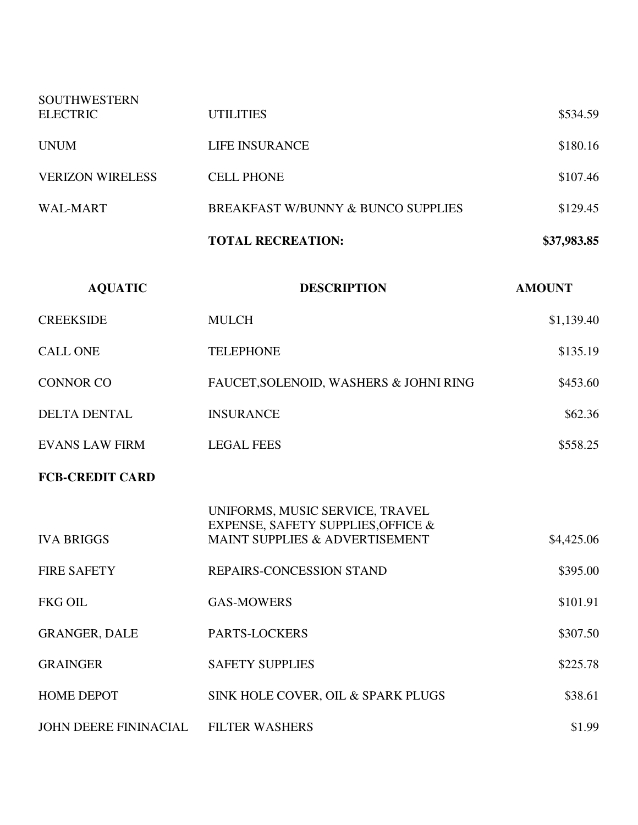| <b>SOUTHWESTERN</b>     |                                                                                                         |               |
|-------------------------|---------------------------------------------------------------------------------------------------------|---------------|
| <b>ELECTRIC</b>         | <b>UTILITIES</b>                                                                                        | \$534.59      |
| <b>UNUM</b>             | <b>LIFE INSURANCE</b>                                                                                   | \$180.16      |
| <b>VERIZON WIRELESS</b> | <b>CELL PHONE</b>                                                                                       | \$107.46      |
| <b>WAL-MART</b>         | BREAKFAST W/BUNNY & BUNCO SUPPLIES                                                                      | \$129.45      |
|                         | <b>TOTAL RECREATION:</b>                                                                                | \$37,983.85   |
| <b>AQUATIC</b>          | <b>DESCRIPTION</b>                                                                                      | <b>AMOUNT</b> |
| <b>CREEKSIDE</b>        | <b>MULCH</b>                                                                                            | \$1,139.40    |
| <b>CALL ONE</b>         | <b>TELEPHONE</b>                                                                                        | \$135.19      |
| <b>CONNOR CO</b>        | FAUCET, SOLENOID, WASHERS & JOHNI RING                                                                  | \$453.60      |
| <b>DELTA DENTAL</b>     | <b>INSURANCE</b>                                                                                        | \$62.36       |
| <b>EVANS LAW FIRM</b>   | <b>LEGAL FEES</b>                                                                                       | \$558.25      |
| <b>FCB-CREDIT CARD</b>  |                                                                                                         |               |
| <b>IVA BRIGGS</b>       | UNIFORMS, MUSIC SERVICE, TRAVEL<br>EXPENSE, SAFETY SUPPLIES, OFFICE &<br>MAINT SUPPLIES & ADVERTISEMENT | \$4,425.06    |
| <b>FIRE SAFETY</b>      | REPAIRS-CONCESSION STAND                                                                                | \$395.00      |
| <b>FKG OIL</b>          | <b>GAS-MOWERS</b>                                                                                       | \$101.91      |
| <b>GRANGER, DALE</b>    | PARTS-LOCKERS                                                                                           | \$307.50      |
| <b>GRAINGER</b>         | <b>SAFETY SUPPLIES</b>                                                                                  | \$225.78      |
| <b>HOME DEPOT</b>       | SINK HOLE COVER, OIL & SPARK PLUGS                                                                      | \$38.61       |
| JOHN DEERE FININACIAL   | <b>FILTER WASHERS</b>                                                                                   | \$1.99        |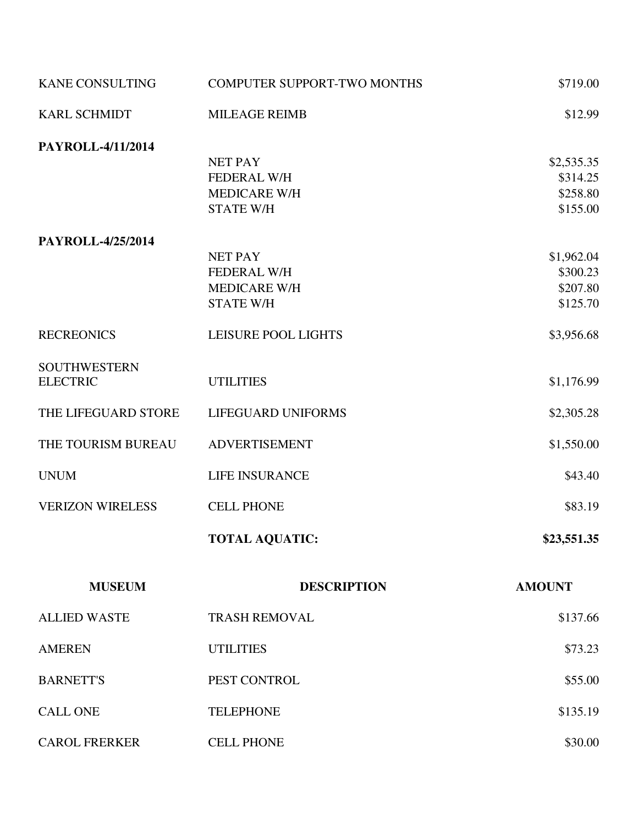| <b>KANE CONSULTING</b>  | <b>COMPUTER SUPPORT-TWO MONTHS</b> | \$719.00      |
|-------------------------|------------------------------------|---------------|
| <b>KARL SCHMIDT</b>     | <b>MILEAGE REIMB</b>               | \$12.99       |
| PAYROLL-4/11/2014       |                                    |               |
|                         | <b>NET PAY</b>                     | \$2,535.35    |
|                         | <b>FEDERAL W/H</b>                 | \$314.25      |
|                         | <b>MEDICARE W/H</b>                | \$258.80      |
|                         | <b>STATE W/H</b>                   | \$155.00      |
| PAYROLL-4/25/2014       |                                    |               |
|                         | <b>NET PAY</b>                     | \$1,962.04    |
|                         | <b>FEDERAL W/H</b>                 | \$300.23      |
|                         | MEDICARE W/H                       | \$207.80      |
|                         | <b>STATE W/H</b>                   | \$125.70      |
| <b>RECREONICS</b>       | <b>LEISURE POOL LIGHTS</b>         | \$3,956.68    |
| <b>SOUTHWESTERN</b>     |                                    |               |
| <b>ELECTRIC</b>         | <b>UTILITIES</b>                   | \$1,176.99    |
| THE LIFEGUARD STORE     | LIFEGUARD UNIFORMS                 | \$2,305.28    |
| THE TOURISM BUREAU      | <b>ADVERTISEMENT</b>               | \$1,550.00    |
| <b>UNUM</b>             | <b>LIFE INSURANCE</b>              | \$43.40       |
| <b>VERIZON WIRELESS</b> | <b>CELL PHONE</b>                  | \$83.19       |
|                         | <b>TOTAL AQUATIC:</b>              | \$23,551.35   |
| <b>MUSEUM</b>           | <b>DESCRIPTION</b>                 | <b>AMOUNT</b> |
| <b>ALLIED WASTE</b>     | <b>TRASH REMOVAL</b>               | \$137.66      |
| <b>AMEREN</b>           | <b>UTILITIES</b>                   | \$73.23       |
| <b>BARNETT'S</b>        | PEST CONTROL                       | \$55.00       |
| <b>CALL ONE</b>         | <b>TELEPHONE</b>                   | \$135.19      |
|                         |                                    |               |
| <b>CAROL FRERKER</b>    | <b>CELL PHONE</b>                  | \$30.00       |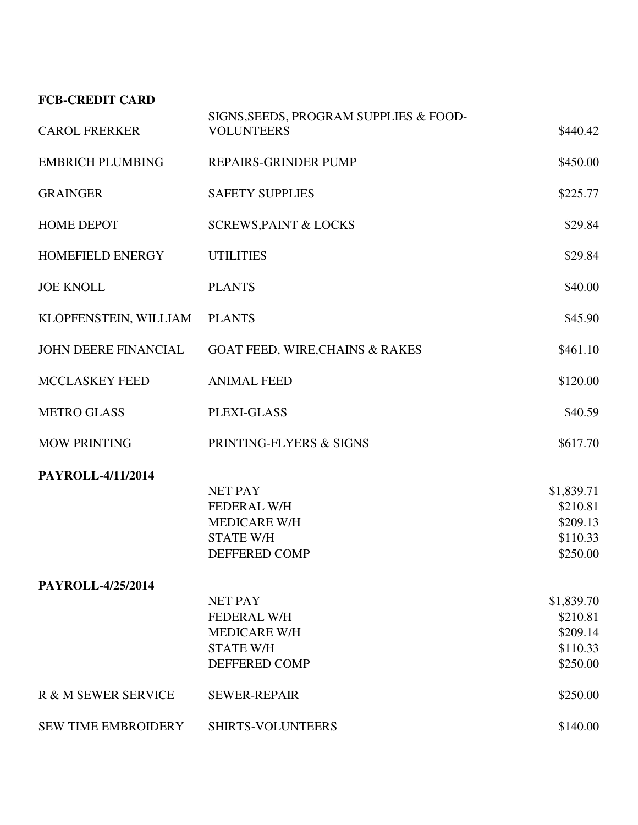# **FCB-CREDIT CARD**

| <b>CAROL FRERKER</b>       | SIGNS, SEEDS, PROGRAM SUPPLIES & FOOD-<br><b>VOLUNTEERS</b> | \$440.42   |
|----------------------------|-------------------------------------------------------------|------------|
| <b>EMBRICH PLUMBING</b>    | <b>REPAIRS-GRINDER PUMP</b>                                 | \$450.00   |
| <b>GRAINGER</b>            | <b>SAFETY SUPPLIES</b>                                      | \$225.77   |
| <b>HOME DEPOT</b>          | <b>SCREWS, PAINT &amp; LOCKS</b>                            | \$29.84    |
| HOMEFIELD ENERGY           | <b>UTILITIES</b>                                            | \$29.84    |
| <b>JOE KNOLL</b>           | <b>PLANTS</b>                                               | \$40.00    |
| KLOPFENSTEIN, WILLIAM      | <b>PLANTS</b>                                               | \$45.90    |
| JOHN DEERE FINANCIAL       | <b>GOAT FEED, WIRE, CHAINS &amp; RAKES</b>                  | \$461.10   |
| MCCLASKEY FEED             | <b>ANIMAL FEED</b>                                          | \$120.00   |
| <b>METRO GLASS</b>         | PLEXI-GLASS                                                 | \$40.59    |
| <b>MOW PRINTING</b>        | PRINTING-FLYERS & SIGNS                                     | \$617.70   |
| PAYROLL-4/11/2014          |                                                             |            |
|                            | <b>NET PAY</b>                                              | \$1,839.71 |
|                            | <b>FEDERAL W/H</b>                                          | \$210.81   |
|                            | <b>MEDICARE W/H</b>                                         | \$209.13   |
|                            | <b>STATE W/H</b>                                            | \$110.33   |
|                            | DEFFERED COMP                                               | \$250.00   |
| PAYROLL-4/25/2014          |                                                             |            |
|                            | <b>NET PAY</b>                                              | \$1,839.70 |
|                            | FEDERAL W/H                                                 | \$210.81   |
|                            | <b>MEDICARE W/H</b>                                         | \$209.14   |
|                            | <b>STATE W/H</b>                                            | \$110.33   |
|                            | <b>DEFFERED COMP</b>                                        | \$250.00   |
| R & M SEWER SERVICE        | <b>SEWER-REPAIR</b>                                         | \$250.00   |
| <b>SEW TIME EMBROIDERY</b> | <b>SHIRTS-VOLUNTEERS</b>                                    | \$140.00   |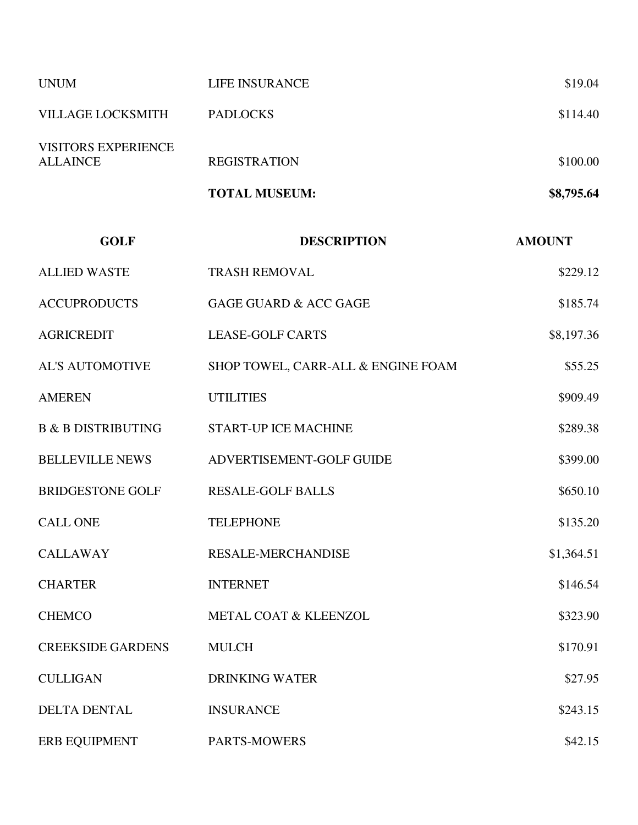|                                        | <b>TOTAL MUSEUM:</b> | \$8,795.64 |
|----------------------------------------|----------------------|------------|
| <b>VISITORS EXPERIENCE</b><br>ALLAINCE | <b>REGISTRATION</b>  | \$100.00   |
| <b>VILLAGE LOCKSMITH</b>               | <b>PADLOCKS</b>      | \$114.40   |
| <b>UNUM</b>                            | LIFE INSURANCE       | \$19.04    |

| <b>GOLF</b>                   | <b>DESCRIPTION</b>                 | <b>AMOUNT</b> |
|-------------------------------|------------------------------------|---------------|
| <b>ALLIED WASTE</b>           | <b>TRASH REMOVAL</b>               | \$229.12      |
| <b>ACCUPRODUCTS</b>           | <b>GAGE GUARD &amp; ACC GAGE</b>   | \$185.74      |
| <b>AGRICREDIT</b>             | <b>LEASE-GOLF CARTS</b>            | \$8,197.36    |
| <b>AL'S AUTOMOTIVE</b>        | SHOP TOWEL, CARR-ALL & ENGINE FOAM | \$55.25       |
| <b>AMEREN</b>                 | <b>UTILITIES</b>                   | \$909.49      |
| <b>B &amp; B DISTRIBUTING</b> | <b>START-UP ICE MACHINE</b>        | \$289.38      |
| <b>BELLEVILLE NEWS</b>        | ADVERTISEMENT-GOLF GUIDE           | \$399.00      |
| <b>BRIDGESTONE GOLF</b>       | <b>RESALE-GOLF BALLS</b>           | \$650.10      |
| <b>CALL ONE</b>               | <b>TELEPHONE</b>                   | \$135.20      |
| <b>CALLAWAY</b>               | <b>RESALE-MERCHANDISE</b>          | \$1,364.51    |
| <b>CHARTER</b>                | <b>INTERNET</b>                    | \$146.54      |
| <b>CHEMCO</b>                 | METAL COAT & KLEENZOL              | \$323.90      |
| <b>CREEKSIDE GARDENS</b>      | <b>MULCH</b>                       | \$170.91      |
| <b>CULLIGAN</b>               | <b>DRINKING WATER</b>              | \$27.95       |
| <b>DELTA DENTAL</b>           | <b>INSURANCE</b>                   | \$243.15      |
| <b>ERB EQUIPMENT</b>          | PARTS-MOWERS                       | \$42.15       |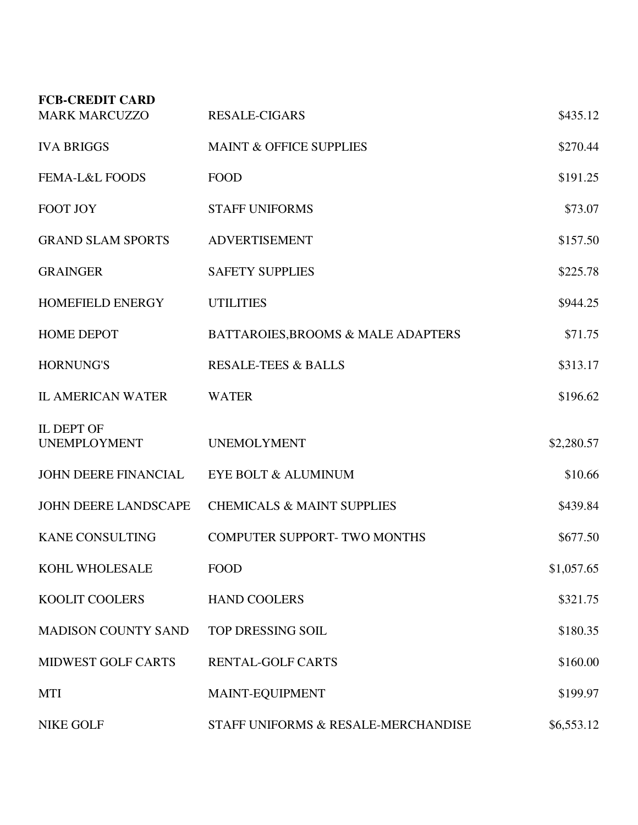| <b>FCB-CREDIT CARD</b>                   |                                       |            |
|------------------------------------------|---------------------------------------|------------|
| <b>MARK MARCUZZO</b>                     | <b>RESALE-CIGARS</b>                  | \$435.12   |
| <b>IVA BRIGGS</b>                        | <b>MAINT &amp; OFFICE SUPPLIES</b>    | \$270.44   |
| <b>FEMA-L&amp;L FOODS</b>                | <b>FOOD</b>                           | \$191.25   |
| FOOT JOY                                 | <b>STAFF UNIFORMS</b>                 | \$73.07    |
| <b>GRAND SLAM SPORTS</b>                 | <b>ADVERTISEMENT</b>                  | \$157.50   |
| <b>GRAINGER</b>                          | <b>SAFETY SUPPLIES</b>                | \$225.78   |
| <b>HOMEFIELD ENERGY</b>                  | <b>UTILITIES</b>                      | \$944.25   |
| <b>HOME DEPOT</b>                        | BATTAROIES, BROOMS & MALE ADAPTERS    | \$71.75    |
| <b>HORNUNG'S</b>                         | <b>RESALE-TEES &amp; BALLS</b>        | \$313.17   |
| <b>IL AMERICAN WATER</b>                 | <b>WATER</b>                          | \$196.62   |
| <b>IL DEPT OF</b><br><b>UNEMPLOYMENT</b> | <b>UNEMOLYMENT</b>                    | \$2,280.57 |
| JOHN DEERE FINANCIAL                     | EYE BOLT & ALUMINUM                   | \$10.66    |
| <b>JOHN DEERE LANDSCAPE</b>              | <b>CHEMICALS &amp; MAINT SUPPLIES</b> | \$439.84   |
| <b>KANE CONSULTING</b>                   | <b>COMPUTER SUPPORT-TWO MONTHS</b>    | \$677.50   |
| KOHL WHOLESALE                           | <b>FOOD</b>                           | \$1,057.65 |
| <b>KOOLIT COOLERS</b>                    | <b>HAND COOLERS</b>                   | \$321.75   |
| <b>MADISON COUNTY SAND</b>               | TOP DRESSING SOIL                     | \$180.35   |
| <b>MIDWEST GOLF CARTS</b>                | <b>RENTAL-GOLF CARTS</b>              | \$160.00   |
| <b>MTI</b>                               | MAINT-EQUIPMENT                       | \$199.97   |
| <b>NIKE GOLF</b>                         | STAFF UNIFORMS & RESALE-MERCHANDISE   | \$6,553.12 |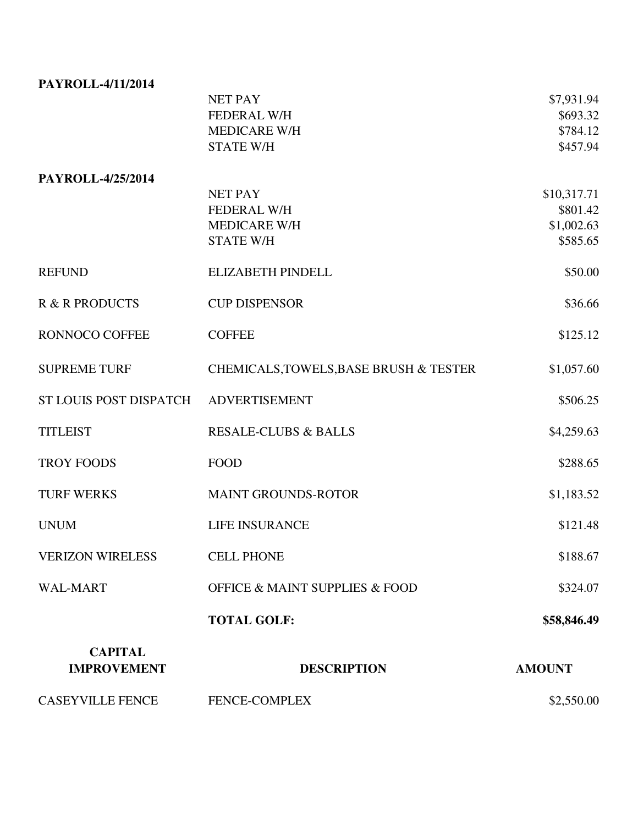| PAYROLL-4/11/2014         |                                               |                      |
|---------------------------|-----------------------------------------------|----------------------|
|                           | <b>NET PAY</b><br><b>FEDERAL W/H</b>          | \$7,931.94           |
|                           | <b>MEDICARE W/H</b>                           | \$693.32<br>\$784.12 |
|                           | <b>STATE W/H</b>                              | \$457.94             |
| PAYROLL-4/25/2014         |                                               |                      |
|                           | <b>NET PAY</b>                                | \$10,317.71          |
|                           | <b>FEDERAL W/H</b>                            | \$801.42             |
|                           | <b>MEDICARE W/H</b>                           | \$1,002.63           |
|                           | <b>STATE W/H</b>                              | \$585.65             |
| <b>REFUND</b>             | <b>ELIZABETH PINDELL</b>                      | \$50.00              |
| <b>R &amp; R PRODUCTS</b> | <b>CUP DISPENSOR</b>                          | \$36.66              |
| <b>RONNOCO COFFEE</b>     | <b>COFFEE</b>                                 | \$125.12             |
| <b>SUPREME TURF</b>       | CHEMICALS, TOWELS, BASE BRUSH & TESTER        | \$1,057.60           |
| ST LOUIS POST DISPATCH    | <b>ADVERTISEMENT</b>                          | \$506.25             |
| <b>TITLEIST</b>           | <b>RESALE-CLUBS &amp; BALLS</b>               | \$4,259.63           |
| <b>TROY FOODS</b>         | <b>FOOD</b>                                   | \$288.65             |
| <b>TURF WERKS</b>         | <b>MAINT GROUNDS-ROTOR</b>                    | \$1,183.52           |
| <b>UNUM</b>               | <b>LIFE INSURANCE</b>                         | \$121.48             |
| <b>VERIZON WIRELESS</b>   | <b>CELL PHONE</b>                             | \$188.67             |
| <b>WAL-MART</b>           | <b>OFFICE &amp; MAINT SUPPLIES &amp; FOOD</b> | \$324.07             |
|                           | <b>TOTAL GOLF:</b>                            | \$58,846.49          |
| <b>CAPITAL</b>            |                                               |                      |
| <b>IMPROVEMENT</b>        | <b>DESCRIPTION</b>                            | <b>AMOUNT</b>        |
| <b>CASEYVILLE FENCE</b>   | FENCE-COMPLEX                                 | \$2,550.00           |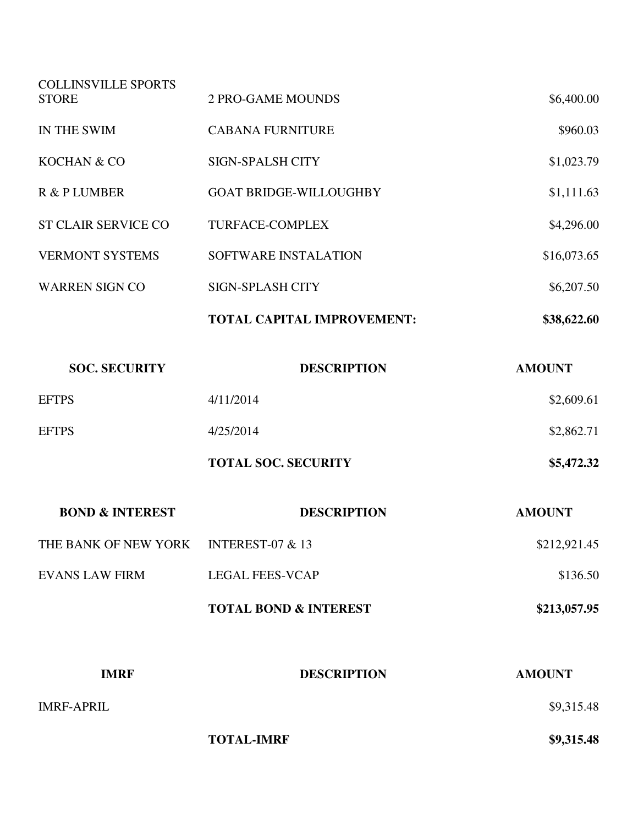| <b>IMRF</b>                                | <b>DESCRIPTION</b>                | <b>AMOUNT</b> |
|--------------------------------------------|-----------------------------------|---------------|
|                                            | <b>TOTAL BOND &amp; INTEREST</b>  | \$213,057.95  |
| <b>EVANS LAW FIRM</b>                      | <b>LEGAL FEES-VCAP</b>            | \$136.50      |
| THE BANK OF NEW YORK                       | <b>INTEREST-07 &amp; 13</b>       | \$212,921.45  |
| <b>BOND &amp; INTEREST</b>                 | <b>DESCRIPTION</b>                | <b>AMOUNT</b> |
|                                            | <b>TOTAL SOC. SECURITY</b>        | \$5,472.32    |
| <b>EFTPS</b>                               | 4/25/2014                         | \$2,862.71    |
| <b>EFTPS</b>                               | 4/11/2014                         | \$2,609.61    |
| <b>SOC. SECURITY</b>                       | <b>DESCRIPTION</b>                | <b>AMOUNT</b> |
|                                            | <b>TOTAL CAPITAL IMPROVEMENT:</b> | \$38,622.60   |
| <b>WARREN SIGN CO</b>                      | <b>SIGN-SPLASH CITY</b>           | \$6,207.50    |
| <b>VERMONT SYSTEMS</b>                     | SOFTWARE INSTALATION              | \$16,073.65   |
| <b>ST CLAIR SERVICE CO</b>                 | <b>TURFACE-COMPLEX</b>            | \$4,296.00    |
| R & P LUMBER                               | <b>GOAT BRIDGE-WILLOUGHBY</b>     | \$1,111.63    |
| KOCHAN & CO                                | <b>SIGN-SPALSH CITY</b>           | \$1,023.79    |
| IN THE SWIM                                | <b>CABANA FURNITURE</b>           | \$960.03      |
| <b>COLLINSVILLE SPORTS</b><br><b>STORE</b> | <b>2 PRO-GAME MOUNDS</b>          | \$6,400.00    |

IMRF-APRIL \$9,315.48

**TOTAL-IMRF** \$9,315.48